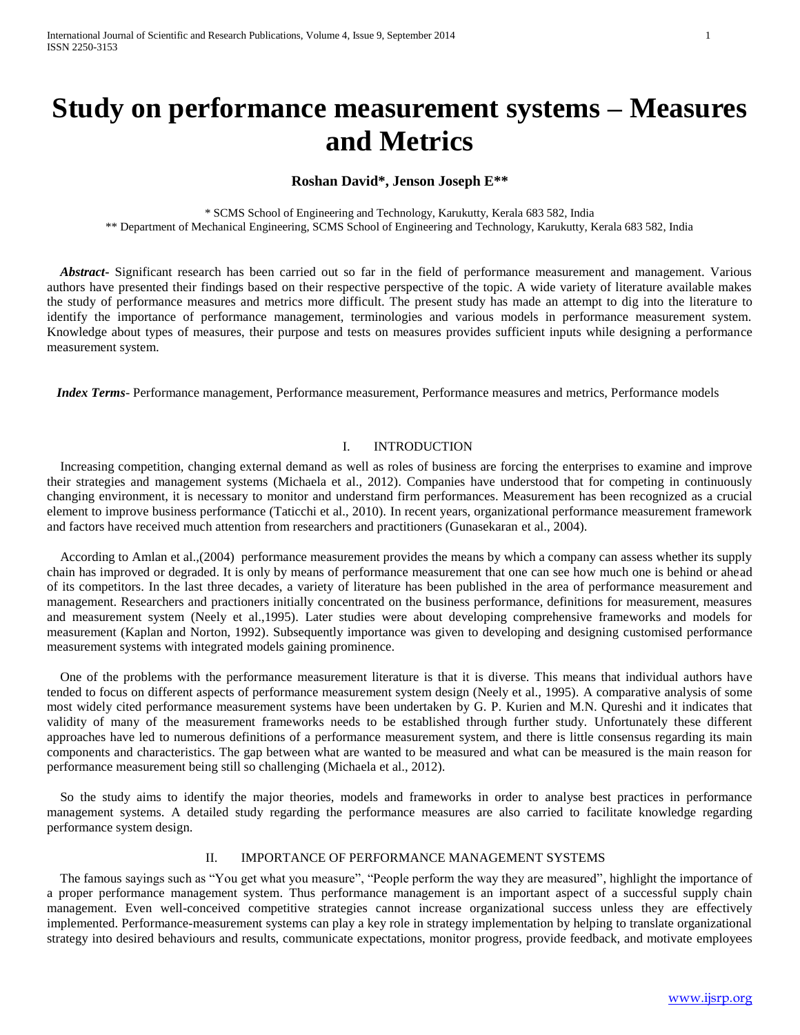# **Study on performance measurement systems – Measures and Metrics**

## **Roshan David\*, Jenson Joseph E\*\***

\* SCMS School of Engineering and Technology, Karukutty, Kerala 683 582, India \*\* Department of Mechanical Engineering, SCMS School of Engineering and Technology, Karukutty, Kerala 683 582, India

 *Abstract***-** Significant research has been carried out so far in the field of performance measurement and management. Various authors have presented their findings based on their respective perspective of the topic. A wide variety of literature available makes the study of performance measures and metrics more difficult. The present study has made an attempt to dig into the literature to identify the importance of performance management, terminologies and various models in performance measurement system. Knowledge about types of measures, their purpose and tests on measures provides sufficient inputs while designing a performance measurement system.

 *Index Terms-* Performance management, Performance measurement, Performance measures and metrics, Performance models

#### I. INTRODUCTION

 Increasing competition, changing external demand as well as roles of business are forcing the enterprises to examine and improve their strategies and management systems (Michaela et al., 2012). Companies have understood that for competing in continuously changing environment, it is necessary to monitor and understand firm performances. Measurement has been recognized as a crucial element to improve business performance (Taticchi et al., 2010). In recent years, organizational performance measurement framework and factors have received much attention from researchers and practitioners (Gunasekaran et al., 2004).

 According to Amlan et al.,(2004) performance measurement provides the means by which a company can assess whether its supply chain has improved or degraded. It is only by means of performance measurement that one can see how much one is behind or ahead of its competitors. In the last three decades, a variety of literature has been published in the area of performance measurement and management. Researchers and practioners initially concentrated on the business performance, definitions for measurement, measures and measurement system (Neely et al.,1995). Later studies were about developing comprehensive frameworks and models for measurement (Kaplan and Norton, 1992). Subsequently importance was given to developing and designing customised performance measurement systems with integrated models gaining prominence.

 One of the problems with the performance measurement literature is that it is diverse. This means that individual authors have tended to focus on different aspects of performance measurement system design (Neely et al., 1995). A comparative analysis of some most widely cited performance measurement systems have been undertaken by G. P. Kurien and M.N. Qureshi and it indicates that validity of many of the measurement frameworks needs to be established through further study. Unfortunately these different approaches have led to numerous definitions of a performance measurement system, and there is little consensus regarding its main components and characteristics. The gap between what are wanted to be measured and what can be measured is the main reason for performance measurement being still so challenging (Michaela et al., 2012).

 So the study aims to identify the major theories, models and frameworks in order to analyse best practices in performance management systems. A detailed study regarding the performance measures are also carried to facilitate knowledge regarding performance system design.

#### II. IMPORTANCE OF PERFORMANCE MANAGEMENT SYSTEMS

 The famous sayings such as "You get what you measure", "People perform the way they are measured", highlight the importance of a proper performance management system. Thus performance management is an important aspect of a successful supply chain management. Even well-conceived competitive strategies cannot increase organizational success unless they are effectively implemented. Performance-measurement systems can play a key role in strategy implementation by helping to translate organizational strategy into desired behaviours and results, communicate expectations, monitor progress, provide feedback, and motivate employees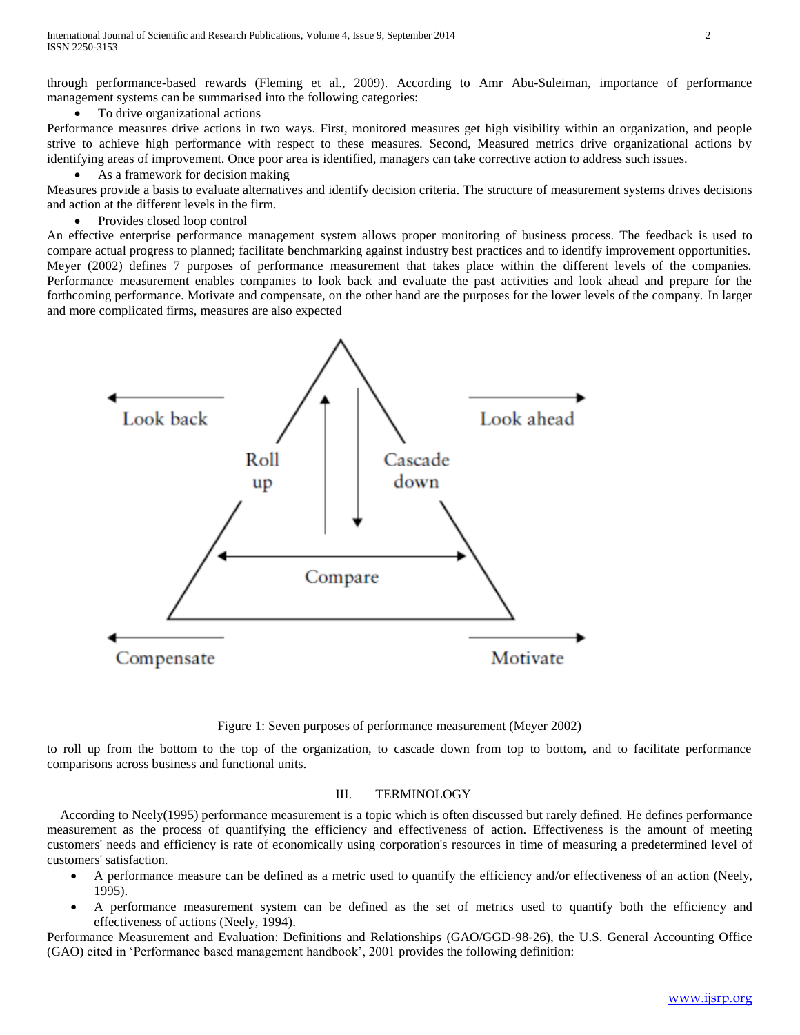through performance-based rewards (Fleming et al., 2009). According to Amr Abu-Suleiman, importance of performance management systems can be summarised into the following categories:

To drive organizational actions

Performance measures drive actions in two ways. First, monitored measures get high visibility within an organization, and people strive to achieve high performance with respect to these measures. Second, Measured metrics drive organizational actions by identifying areas of improvement. Once poor area is identified, managers can take corrective action to address such issues.

• As a framework for decision making

Measures provide a basis to evaluate alternatives and identify decision criteria. The structure of measurement systems drives decisions and action at the different levels in the firm.

Provides closed loop control

An effective enterprise performance management system allows proper monitoring of business process. The feedback is used to compare actual progress to planned; facilitate benchmarking against industry best practices and to identify improvement opportunities. Meyer (2002) defines 7 purposes of performance measurement that takes place within the different levels of the companies. Performance measurement enables companies to look back and evaluate the past activities and look ahead and prepare for the forthcoming performance. Motivate and compensate, on the other hand are the purposes for the lower levels of the company. In larger and more complicated firms, measures are also expected



Figure 1: Seven purposes of performance measurement (Meyer 2002)

to roll up from the bottom to the top of the organization, to cascade down from top to bottom, and to facilitate performance comparisons across business and functional units.

## III. TERMINOLOGY

 According to Neely(1995) performance measurement is a topic which is often discussed but rarely defined. He defines performance measurement as the process of quantifying the efficiency and effectiveness of action. Effectiveness is the amount of meeting customers' needs and efficiency is rate of economically using corporation's resources in time of measuring a predetermined level of customers' satisfaction.

- A performance measure can be defined as a metric used to quantify the efficiency and/or effectiveness of an action (Neely, 1995).
- A performance measurement system can be defined as the set of metrics used to quantify both the efficiency and effectiveness of actions (Neely, 1994).

Performance Measurement and Evaluation: Definitions and Relationships (GAO/GGD-98-26), the U.S. General Accounting Office (GAO) cited in 'Performance based management handbook', 2001 provides the following definition: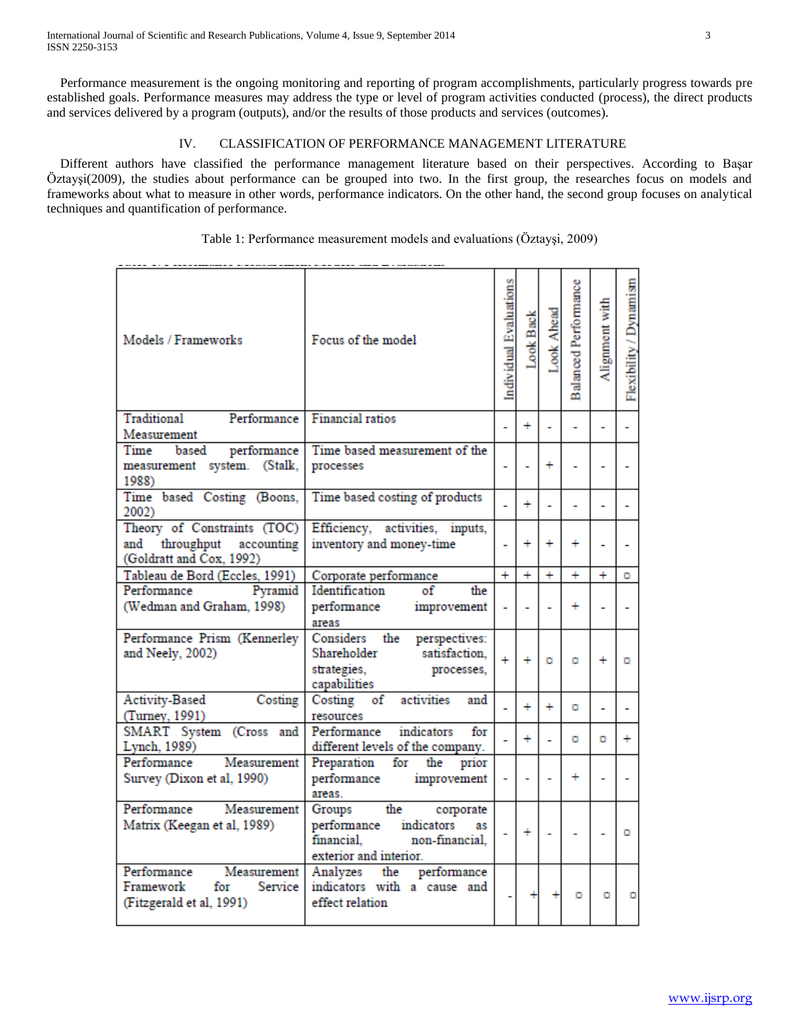Performance measurement is the ongoing monitoring and reporting of program accomplishments, particularly progress towards pre established goals. Performance measures may address the type or level of program activities conducted (process), the direct products and services delivered by a program (outputs), and/or the results of those products and services (outcomes).

# IV. CLASSIFICATION OF PERFORMANCE MANAGEMENT LITERATURE

 Different authors have classified the performance management literature based on their perspectives. According to Başar Öztayşi(2009), the studies about performance can be grouped into two. In the first group, the researches focus on models and frameworks about what to measure in other words, performance indicators. On the other hand, the second group focuses on analytical techniques and quantification of performance.

| Table 1: Performance measurement models and evaluations (Öztayşi, 2009) |  |  |  |
|-------------------------------------------------------------------------|--|--|--|
|-------------------------------------------------------------------------|--|--|--|

| Models / Frameworks                                                                     | Focus of the model                                                                                                   | Individual Evaluations | Look Back                | Look Ahead     | Balanced Performance | Alignment with | Flexibility / Dynamism |
|-----------------------------------------------------------------------------------------|----------------------------------------------------------------------------------------------------------------------|------------------------|--------------------------|----------------|----------------------|----------------|------------------------|
| Traditional<br>Performance                                                              | <b>Financial ratios</b>                                                                                              |                        | $\ddot{}$                | L,             |                      | ٠              | ٠                      |
| Measurement                                                                             |                                                                                                                      |                        |                          |                |                      |                |                        |
| based<br>performance<br>Time                                                            | Time based measurement of the                                                                                        |                        |                          |                |                      |                |                        |
| measurement system. (Stalk,                                                             | processes                                                                                                            | ÷                      |                          | $\ddot{}$      |                      | ٠              |                        |
| 1988)                                                                                   |                                                                                                                      |                        |                          |                |                      |                |                        |
| Time based Costing (Boons,<br>2002)                                                     | Time based costing of products                                                                                       |                        | ÷.                       | $\overline{a}$ |                      | L              |                        |
| Theory of Constraints (TOC)<br>and throughput accounting<br>(Goldratt and Cox. 1992)    | Efficiency, activities, inputs,<br>inventory and money-time                                                          | ÷                      | ÷                        | $\ddot{}$      | $\ddot{}$            | ٠              |                        |
| Tableau de Bord (Eccles, 1991)                                                          | Corporate performance                                                                                                | $+$                    | $+$                      | $+$            | $+$                  | $+$            | o                      |
| Performance<br>Pyramid                                                                  | Identification<br>of<br>the                                                                                          |                        |                          |                |                      |                |                        |
| (Wedman and Graham, 1998)                                                               | performance<br>improvement<br>areas                                                                                  | ä,                     | $\ddot{\phantom{0}}$     |                | $\ddot{}$            |                |                        |
| Performance Prism (Kennerley<br>and Neely, 2002)                                        | Considers the<br>perspectives:<br>Shareholder<br>satisfaction.<br>strategies,<br>processes,<br>capabilities          | $\ddot{}$              | $+$                      | $\sigma$       | ō                    | $\ddot{}$      | ō                      |
| <b>Activity-Based</b><br>Costing<br>(Turney, 1991)                                      | Costing of<br>activities<br>and<br>resources                                                                         |                        | ÷                        | $\ddot{}$      | o                    | L,             |                        |
| SMART System (Cross and<br>Lynch, 1989)                                                 | Performance<br>indicators<br>for<br>different levels of the company.                                                 |                        | $\ddot{}$                | ÷.             | o                    | o              | $\ddot{}$              |
| Performance<br>Measurement<br>Survey (Dixon et al, 1990)                                | Preparation for the prior<br>performance<br>improvement<br>areas.                                                    | ÷                      | $\overline{\phantom{a}}$ |                | $\ddot{}$            | ۰              |                        |
| Performance<br>Measurement<br>Matrix (Keegan et al, 1989)                               | the<br>Groups<br>corporate<br>performance indicators<br>as<br>financial,<br>non-financial.<br>exterior and interior. |                        | ÷                        |                |                      |                | ō                      |
| Performance<br>Measurement<br>Framework<br>for<br>Service  <br>(Fitzgerald et al, 1991) | Analyzes the<br>performance<br>indicators with a cause and<br>effect relation                                        |                        |                          |                | o                    | o              | o                      |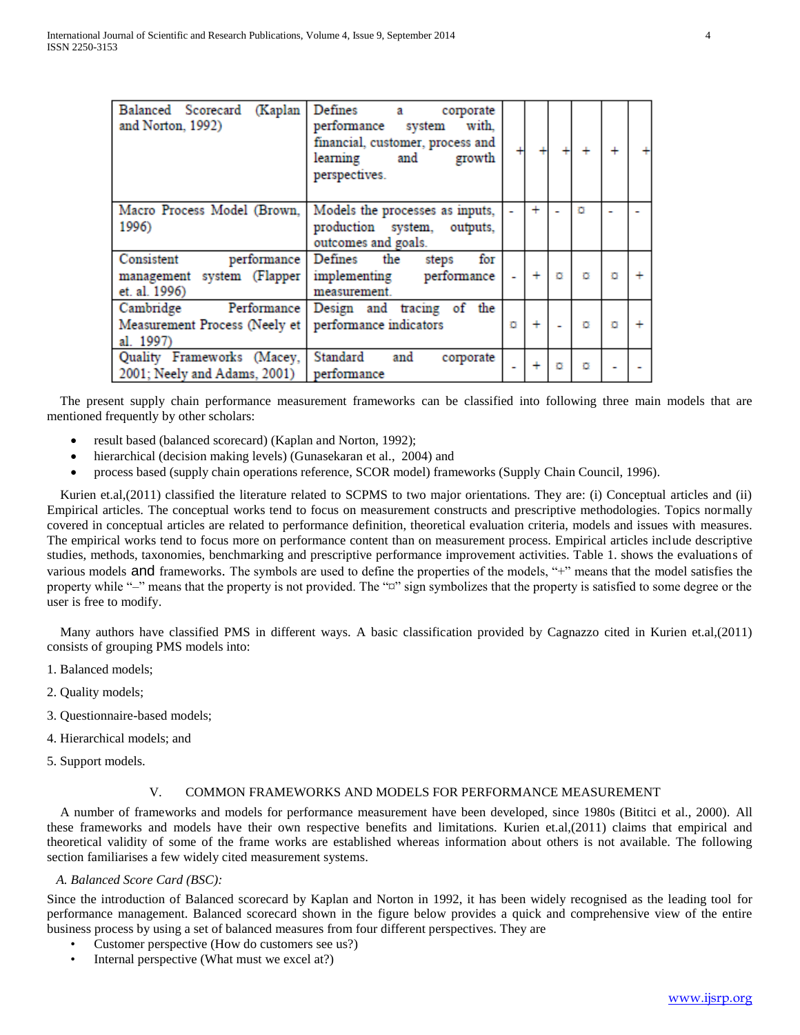| (Kaplan<br>Balanced Scorecard<br>and Norton, 1992)     | Defines<br>corporate<br>а<br>with.<br>performance system<br>financial, customer, process and<br>learning and<br>growth<br>perspectives. |   |           |   |   | $\ddot{}$ |  |
|--------------------------------------------------------|-----------------------------------------------------------------------------------------------------------------------------------------|---|-----------|---|---|-----------|--|
| Macro Process Model (Brown,                            | Models the processes as inputs,                                                                                                         |   | $\ddot{}$ |   |   |           |  |
| 1996)                                                  | production system, outputs,<br>outcomes and goals.                                                                                      |   |           |   |   |           |  |
| Consistent                                             | performance Defines the<br>for<br>steps                                                                                                 |   |           |   |   |           |  |
| management system (Flapper                             | implementing performance                                                                                                                |   | $\ddot{}$ |   | ō |           |  |
| et. al. 1996)                                          | measurement.                                                                                                                            |   |           |   |   |           |  |
| Cambridge                                              | Performance Design and tracing of the                                                                                                   |   |           |   |   |           |  |
| Measurement Process (Neely et   performance indicators |                                                                                                                                         | ō | ÷         |   | o | ō         |  |
| al. 1997)                                              |                                                                                                                                         |   |           |   |   |           |  |
| Quality Frameworks (Macey, Standard                    | and<br>corporate                                                                                                                        |   | $\ddot{}$ | ō | ō |           |  |
| 2001; Neely and Adams, 2001) performance               |                                                                                                                                         | - |           |   |   |           |  |

 The present supply chain performance measurement frameworks can be classified into following three main models that are mentioned frequently by other scholars:

- result based (balanced scorecard) (Kaplan and Norton, 1992);
- hierarchical (decision making levels) (Gunasekaran et al., 2004) and
- process based (supply chain operations reference, SCOR model) frameworks (Supply Chain Council, 1996).

 Kurien et.al,(2011) classified the literature related to SCPMS to two major orientations. They are: (i) Conceptual articles and (ii) Empirical articles. The conceptual works tend to focus on measurement constructs and prescriptive methodologies. Topics normally covered in conceptual articles are related to performance definition, theoretical evaluation criteria, models and issues with measures. The empirical works tend to focus more on performance content than on measurement process. Empirical articles include descriptive studies, methods, taxonomies, benchmarking and prescriptive performance improvement activities. Table 1. shows the evaluations of various models and frameworks. The symbols are used to define the properties of the models, "+" means that the model satisfies the property while "-" means that the property is not provided. The " $\alpha$ " sign symbolizes that the property is satisfied to some degree or the user is free to modify.

 Many authors have classified PMS in different ways. A basic classification provided by Cagnazzo cited in Kurien et.al,(2011) consists of grouping PMS models into:

- 1. Balanced models;
- 2. Quality models;
- 3. Questionnaire-based models;
- 4. Hierarchical models; and
- 5. Support models.

# V. COMMON FRAMEWORKS AND MODELS FOR PERFORMANCE MEASUREMENT

 A number of frameworks and models for performance measurement have been developed, since 1980s (Bititci et al., 2000). All these frameworks and models have their own respective benefits and limitations. Kurien et.al,(2011) claims that empirical and theoretical validity of some of the frame works are established whereas information about others is not available. The following section familiarises a few widely cited measurement systems.

#### *A. Balanced Score Card (BSC):*

Since the introduction of Balanced scorecard by Kaplan and Norton in 1992, it has been widely recognised as the leading tool for performance management. Balanced scorecard shown in the figure below provides a quick and comprehensive view of the entire business process by using a set of balanced measures from four different perspectives. They are

- Customer perspective (How do customers see us?)
- Internal perspective (What must we excel at?)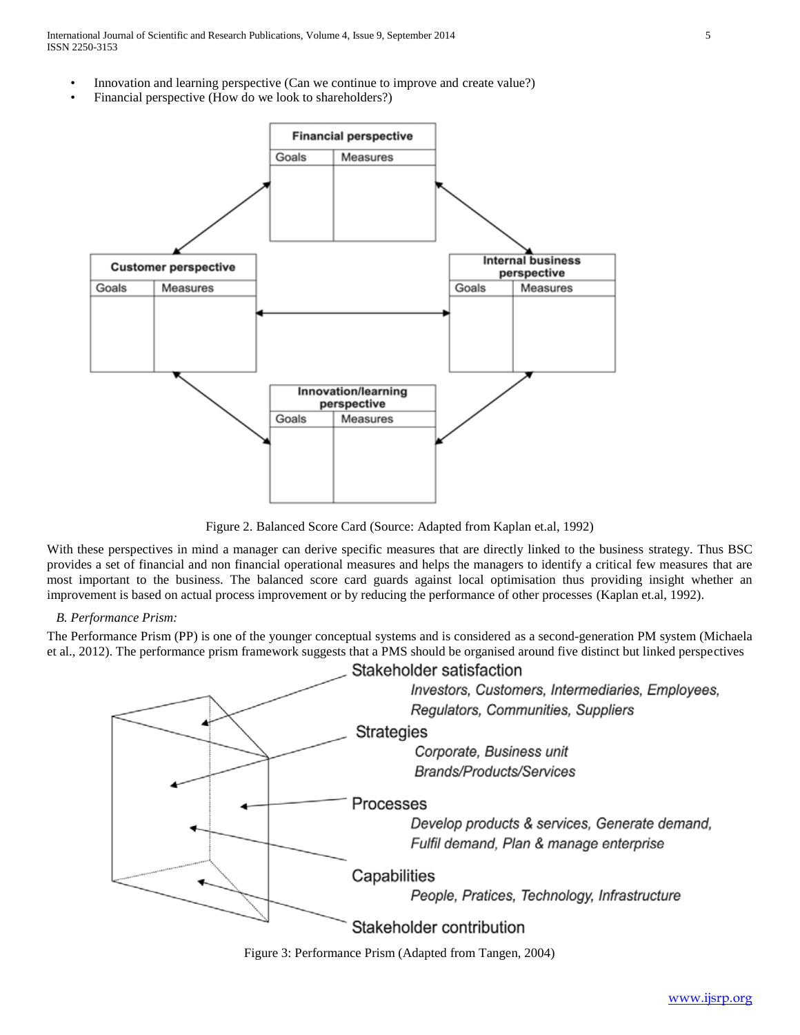International Journal of Scientific and Research Publications, Volume 4, Issue 9, September 2014 5 ISSN 2250-3153

- Innovation and learning perspective (Can we continue to improve and create value?)
- Financial perspective (How do we look to shareholders?)



Figure 2. Balanced Score Card (Source: Adapted from Kaplan et.al, 1992)

With these perspectives in mind a manager can derive specific measures that are directly linked to the business strategy. Thus BSC provides a set of financial and non financial operational measures and helps the managers to identify a critical few measures that are most important to the business. The balanced score card guards against local optimisation thus providing insight whether an improvement is based on actual process improvement or by reducing the performance of other processes (Kaplan et.al, 1992).

## *B. Performance Prism:*

The Performance Prism (PP) is one of the younger conceptual systems and is considered as a second-generation PM system (Michaela et al., 2012). The performance prism framework suggests that a PMS should be organised around five distinct but linked perspectives



Figure 3: Performance Prism (Adapted from Tangen, 2004)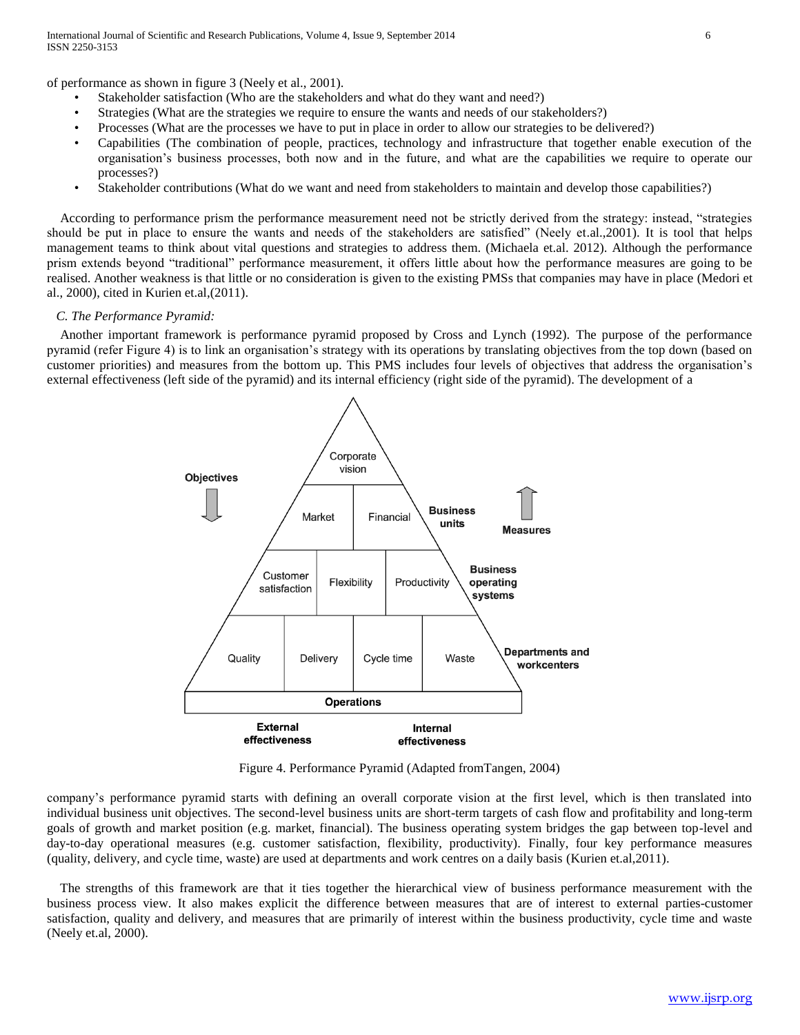of performance as shown in figure 3 (Neely et al., 2001).

- Stakeholder satisfaction (Who are the stakeholders and what do they want and need?)
- Strategies (What are the strategies we require to ensure the wants and needs of our stakeholders?)
- Processes (What are the processes we have to put in place in order to allow our strategies to be delivered?)
- Capabilities (The combination of people, practices, technology and infrastructure that together enable execution of the organisation's business processes, both now and in the future, and what are the capabilities we require to operate our processes?)
- Stakeholder contributions (What do we want and need from stakeholders to maintain and develop those capabilities?)

 According to performance prism the performance measurement need not be strictly derived from the strategy: instead, "strategies should be put in place to ensure the wants and needs of the stakeholders are satisfied" (Neely et.al.,2001). It is tool that helps management teams to think about vital questions and strategies to address them. (Michaela et.al. 2012). Although the performance prism extends beyond "traditional" performance measurement, it offers little about how the performance measures are going to be realised. Another weakness is that little or no consideration is given to the existing PMSs that companies may have in place (Medori et al., 2000), cited in Kurien et.al,(2011).

## *C. The Performance Pyramid:*

 Another important framework is performance pyramid proposed by Cross and Lynch (1992). The purpose of the performance pyramid (refer Figure 4) is to link an organisation's strategy with its operations by translating objectives from the top down (based on customer priorities) and measures from the bottom up. This PMS includes four levels of objectives that address the organisation's external effectiveness (left side of the pyramid) and its internal efficiency (right side of the pyramid). The development of a



Figure 4. Performance Pyramid (Adapted fromTangen, 2004)

company's performance pyramid starts with defining an overall corporate vision at the first level, which is then translated into individual business unit objectives. The second-level business units are short-term targets of cash flow and profitability and long-term goals of growth and market position (e.g. market, financial). The business operating system bridges the gap between top-level and day-to-day operational measures (e.g. customer satisfaction, flexibility, productivity). Finally, four key performance measures (quality, delivery, and cycle time, waste) are used at departments and work centres on a daily basis (Kurien et.al,2011).

 The strengths of this framework are that it ties together the hierarchical view of business performance measurement with the business process view. It also makes explicit the difference between measures that are of interest to external parties-customer satisfaction, quality and delivery, and measures that are primarily of interest within the business productivity, cycle time and waste (Neely et.al, 2000).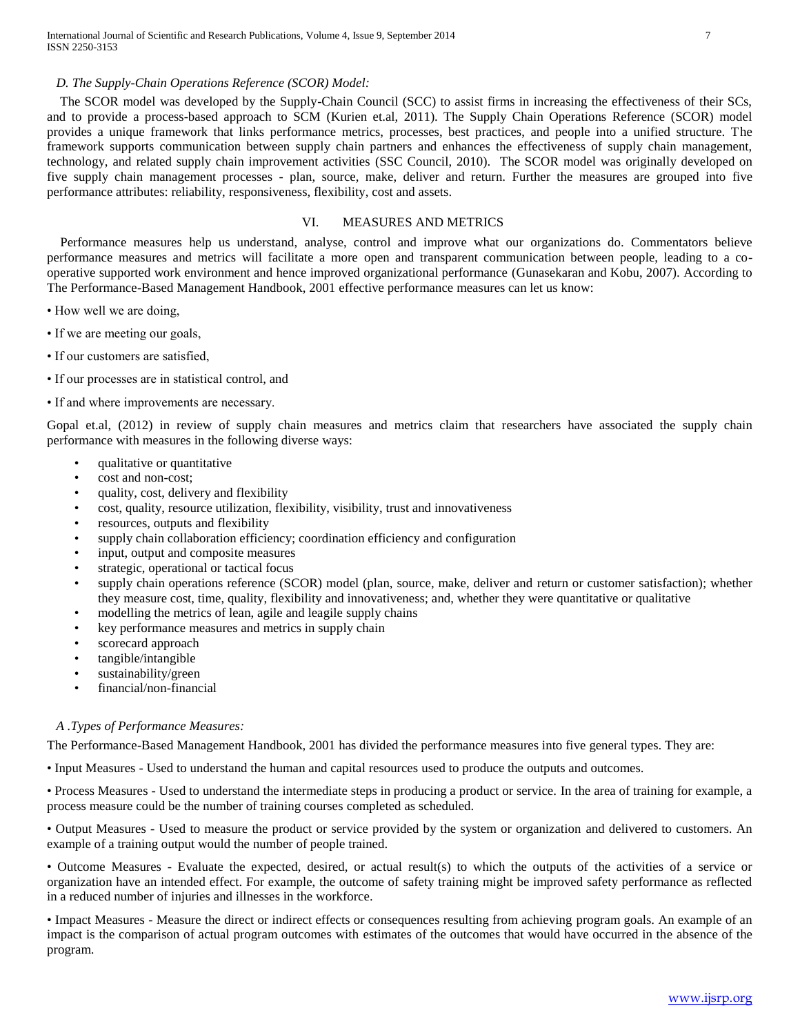## *D. The Supply-Chain Operations Reference (SCOR) Model:*

 The SCOR model was developed by the Supply-Chain Council (SCC) to assist firms in increasing the effectiveness of their SCs, and to provide a process-based approach to SCM (Kurien et.al, 2011). The Supply Chain Operations Reference (SCOR) model provides a unique framework that links performance metrics, processes, best practices, and people into a unified structure. The framework supports communication between supply chain partners and enhances the effectiveness of supply chain management, technology, and related supply chain improvement activities (SSC Council, 2010). The SCOR model was originally developed on five supply chain management processes - plan, source, make, deliver and return. Further the measures are grouped into five performance attributes: reliability, responsiveness, flexibility, cost and assets.

# VI. MEASURES AND METRICS

 Performance measures help us understand, analyse, control and improve what our organizations do. Commentators believe performance measures and metrics will facilitate a more open and transparent communication between people, leading to a cooperative supported work environment and hence improved organizational performance (Gunasekaran and Kobu, 2007). According to The Performance-Based Management Handbook, 2001 effective performance measures can let us know:

- How well we are doing,
- If we are meeting our goals,
- If our customers are satisfied,
- If our processes are in statistical control, and
- If and where improvements are necessary.

Gopal et.al, (2012) in review of supply chain measures and metrics claim that researchers have associated the supply chain performance with measures in the following diverse ways:

- qualitative or quantitative
- cost and non-cost;
- quality, cost, delivery and flexibility
- cost, quality, resource utilization, flexibility, visibility, trust and innovativeness
- resources, outputs and flexibility
- supply chain collaboration efficiency; coordination efficiency and configuration
- input, output and composite measures
- strategic, operational or tactical focus
- supply chain operations reference (SCOR) model (plan, source, make, deliver and return or customer satisfaction); whether they measure cost, time, quality, flexibility and innovativeness; and, whether they were quantitative or qualitative
- modelling the metrics of lean, agile and leagile supply chains
- key performance measures and metrics in supply chain
- scorecard approach
- tangible/intangible
- sustainability/green
- financial/non-financial

#### *A .Types of Performance Measures:*

The Performance-Based Management Handbook, 2001 has divided the performance measures into five general types. They are:

• Input Measures - Used to understand the human and capital resources used to produce the outputs and outcomes.

• Process Measures - Used to understand the intermediate steps in producing a product or service. In the area of training for example, a process measure could be the number of training courses completed as scheduled.

• Output Measures - Used to measure the product or service provided by the system or organization and delivered to customers. An example of a training output would the number of people trained.

• Outcome Measures - Evaluate the expected, desired, or actual result(s) to which the outputs of the activities of a service or organization have an intended effect. For example, the outcome of safety training might be improved safety performance as reflected in a reduced number of injuries and illnesses in the workforce.

• Impact Measures - Measure the direct or indirect effects or consequences resulting from achieving program goals. An example of an impact is the comparison of actual program outcomes with estimates of the outcomes that would have occurred in the absence of the program.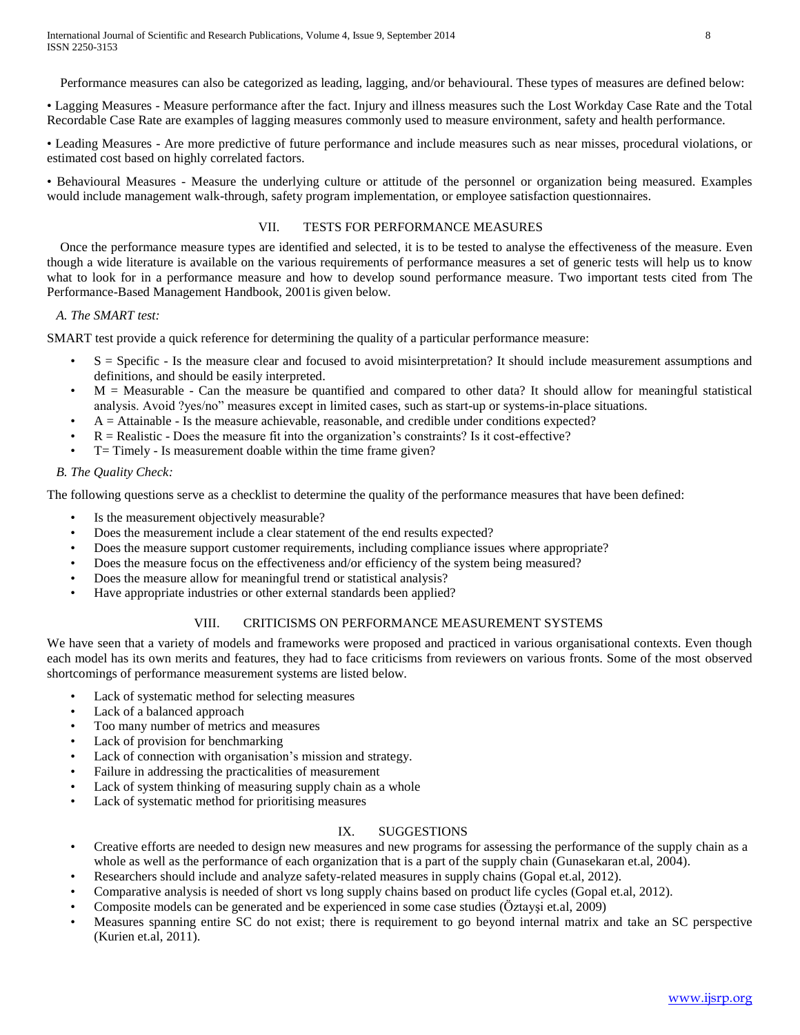Performance measures can also be categorized as leading, lagging, and/or behavioural. These types of measures are defined below:

• Lagging Measures - Measure performance after the fact. Injury and illness measures such the Lost Workday Case Rate and the Total Recordable Case Rate are examples of lagging measures commonly used to measure environment, safety and health performance.

• Leading Measures - Are more predictive of future performance and include measures such as near misses, procedural violations, or estimated cost based on highly correlated factors.

• Behavioural Measures - Measure the underlying culture or attitude of the personnel or organization being measured. Examples would include management walk-through, safety program implementation, or employee satisfaction questionnaires.

# VII. TESTS FOR PERFORMANCE MEASURES

 Once the performance measure types are identified and selected, it is to be tested to analyse the effectiveness of the measure. Even though a wide literature is available on the various requirements of performance measures a set of generic tests will help us to know what to look for in a performance measure and how to develop sound performance measure. Two important tests cited from The Performance-Based Management Handbook, 2001is given below.

## *A. The SMART test:*

SMART test provide a quick reference for determining the quality of a particular performance measure:

- $S =$  Specific  $\overline{S}$  Is the measure clear and focused to avoid misinterpretation? It should include measurement assumptions and definitions, and should be easily interpreted.
- $M =$  Measurable Can the measure be quantified and compared to other data? It should allow for meaningful statistical analysis. Avoid ?yes/no" measures except in limited cases, such as start-up or systems-in-place situations.
- A = Attainable Is the measure achievable, reasonable, and credible under conditions expected?
- $R =$ Realistic Does the measure fit into the organization's constraints? Is it cost-effective?
- T= Timely Is measurement doable within the time frame given?

## *B. The Quality Check:*

The following questions serve as a checklist to determine the quality of the performance measures that have been defined:

- Is the measurement objectively measurable?
- Does the measurement include a clear statement of the end results expected?
- Does the measure support customer requirements, including compliance issues where appropriate?
- Does the measure focus on the effectiveness and/or efficiency of the system being measured?
- Does the measure allow for meaningful trend or statistical analysis?
- Have appropriate industries or other external standards been applied?

# VIII. CRITICISMS ON PERFORMANCE MEASUREMENT SYSTEMS

We have seen that a variety of models and frameworks were proposed and practiced in various organisational contexts. Even though each model has its own merits and features, they had to face criticisms from reviewers on various fronts. Some of the most observed shortcomings of performance measurement systems are listed below.

- Lack of systematic method for selecting measures
- Lack of a balanced approach
- Too many number of metrics and measures
- Lack of provision for benchmarking
- Lack of connection with organisation's mission and strategy.
- Failure in addressing the practicalities of measurement
- Lack of system thinking of measuring supply chain as a whole
- Lack of systematic method for prioritising measures

# IX. SUGGESTIONS

- Creative efforts are needed to design new measures and new programs for assessing the performance of the supply chain as a whole as well as the performance of each organization that is a part of the supply chain (Gunasekaran et.al, 2004).
- Researchers should include and analyze safety-related measures in supply chains (Gopal et.al, 2012).
- Comparative analysis is needed of short vs long supply chains based on product life cycles (Gopal et.al, 2012).
- Composite models can be generated and be experienced in some case studies (Öztayşi et.al, 2009)
- Measures spanning entire SC do not exist; there is requirement to go beyond internal matrix and take an SC perspective (Kurien et.al, 2011).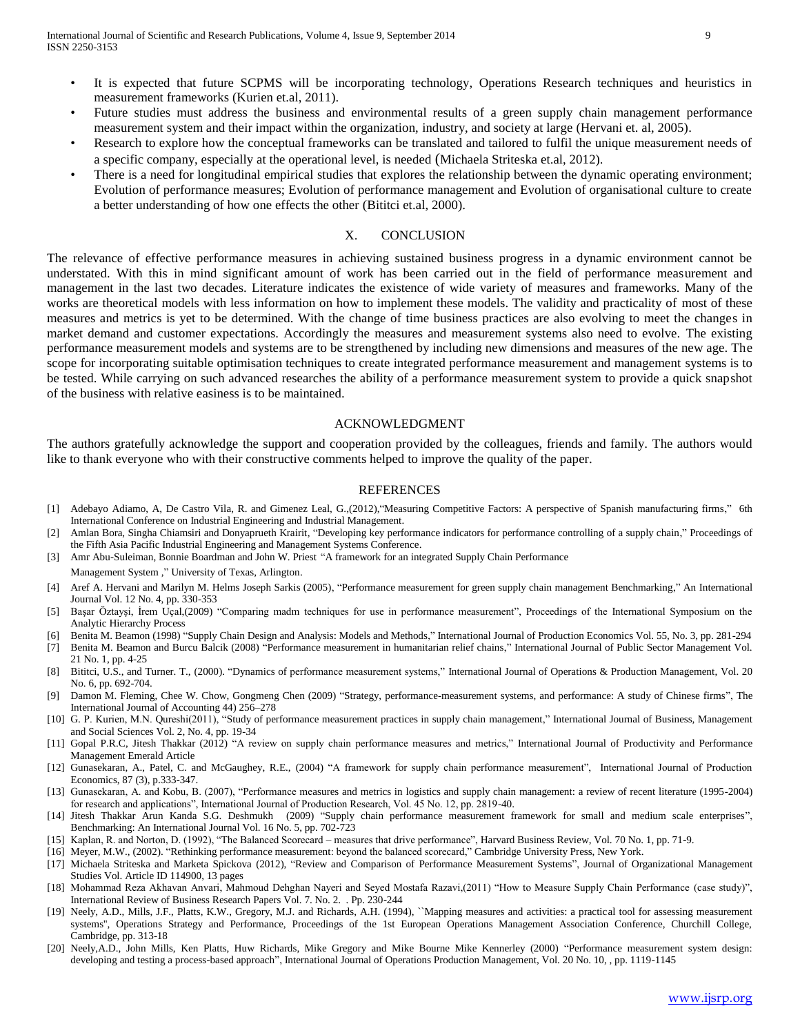- It is expected that future SCPMS will be incorporating technology, Operations Research techniques and heuristics in measurement frameworks (Kurien et.al, 2011).
- Future studies must address the business and environmental results of a green supply chain management performance measurement system and their impact within the organization, industry, and society at large (Hervani et. al, 2005).
- Research to explore how the conceptual frameworks can be translated and tailored to fulfil the unique measurement needs of a specific company, especially at the operational level, is needed (Michaela Striteska et.al, 2012).
- There is a need for longitudinal empirical studies that explores the relationship between the dynamic operating environment; Evolution of performance measures; Evolution of performance management and Evolution of organisational culture to create a better understanding of how one effects the other (Bititci et.al, 2000).

## X. CONCLUSION

The relevance of effective performance measures in achieving sustained business progress in a dynamic environment cannot be understated. With this in mind significant amount of work has been carried out in the field of performance measurement and management in the last two decades. Literature indicates the existence of wide variety of measures and frameworks. Many of the works are theoretical models with less information on how to implement these models. The validity and practicality of most of these measures and metrics is yet to be determined. With the change of time business practices are also evolving to meet the changes in market demand and customer expectations. Accordingly the measures and measurement systems also need to evolve. The existing performance measurement models and systems are to be strengthened by including new dimensions and measures of the new age. The scope for incorporating suitable optimisation techniques to create integrated performance measurement and management systems is to be tested. While carrying on such advanced researches the ability of a performance measurement system to provide a quick snapshot of the business with relative easiness is to be maintained.

#### ACKNOWLEDGMENT

The authors gratefully acknowledge the support and cooperation provided by the colleagues, friends and family. The authors would like to thank everyone who with their constructive comments helped to improve the quality of the paper.

#### REFERENCES

- [1] Adebayo Adiamo, A, De Castro Vila, R. and Gimenez Leal, G.,(2012),"Measuring Competitive Factors: A perspective of Spanish manufacturing firms," 6th International Conference on Industrial Engineering and Industrial Management.
- [2] Amlan Bora, Singha Chiamsiri and Donyaprueth Krairit, "Developing key performance indicators for performance controlling of a supply chain," Proceedings of the Fifth Asia Pacific Industrial Engineering and Management Systems Conference.
- [3] Amr Abu-Suleiman, Bonnie Boardman and John W. Priest "A framework for an integrated Supply Chain Performance

Management System ," University of Texas, Arlington.

- [4] Aref A. Hervani and Marilyn M. Helms Joseph Sarkis (2005), "Performance measurement for green supply chain management Benchmarking," An International Journal Vol. 12 No. 4, pp. 330-353
- [5] Başar Öztayşi, İrem Uçal,(2009) "Comparing madm techniques for use in performance measurement", Proceedings of the International Symposium on the Analytic Hierarchy Process
- [6] Benita M. Beamon (1998) "Supply Chain Design and Analysis: Models and Methods," International Journal of Production Economics Vol. 55, No. 3, pp. 281-294
- [7] Benita M. Beamon and Burcu Balcik (2008) "Performance measurement in humanitarian relief chains," International Journal of Public Sector Management Vol. 21 No. 1, pp. 4-25
- [8] Bititci, U.S., and Turner. T., (2000). "Dynamics of performance measurement systems," International Journal of Operations & Production Management, Vol. 20 No. 6, pp. 692-704.
- [9] Damon M. Fleming, Chee W. Chow, Gongmeng Chen (2009) "Strategy, performance-measurement systems, and performance: A study of Chinese firms", The International Journal of Accounting 44) 256–278
- [10] G. P. Kurien, M.N. Qureshi(2011), "Study of performance measurement practices in supply chain management," International Journal of Business, Management and Social Sciences Vol. 2, No. 4, pp. 19-34
- [11] Gopal P.R.C, Jitesh Thakkar (2012) "A review on supply chain performance measures and metrics," International Journal of Productivity and Performance Management Emerald Article
- [12] Gunasekaran, A., Patel, C. and McGaughey, R.E., (2004) "A framework for supply chain performance measurement", International Journal of Production Economics, 87 (3), p.333-347.
- [13] Gunasekaran, A. and Kobu, B. (2007), "Performance measures and metrics in logistics and supply chain management: a review of recent literature (1995-2004) for research and applications", International Journal of Production Research, Vol. 45 No. 12, pp. 2819-40.
- [14] Jitesh Thakkar Arun Kanda S.G. Deshmukh (2009) "Supply chain performance measurement framework for small and medium scale enterprises", Benchmarking: An International Journal Vol. 16 No. 5, pp. 702-723
- [15] Kaplan, R. and Norton, D. (1992), "The Balanced Scorecard measures that drive performance", Harvard Business Review, Vol. 70 No. 1, pp. 71-9.
- [16] Meyer, M.W., (2002). "Rethinking performance measurement: beyond the balanced scorecard," Cambridge University Press, New York.
- [17] Michaela Striteska and Marketa Spickova (2012), "Review and Comparison of Performance Measurement Systems", Journal of Organizational Management Studies Vol. Article ID 114900, 13 pages
- [18] Mohammad Reza Akhavan Anvari, Mahmoud Dehghan Nayeri and Seyed Mostafa Razavi,(2011) "How to Measure Supply Chain Performance (case study)", International Review of Business Research Papers Vol. 7. No. 2. . Pp. 230-244
- [19] Neely, A.D., Mills, J.F., Platts, K.W., Gregory, M.J. and Richards, A.H. (1994), ``Mapping measures and activities: a practical tool for assessing measurement systems'', Operations Strategy and Performance, Proceedings of the 1st European Operations Management Association Conference, Churchill College, Cambridge, pp. 313-18
- [20] Neely,A.D., John Mills, Ken Platts, Huw Richards, Mike Gregory and Mike Bourne Mike Kennerley (2000) "Performance measurement system design: developing and testing a process-based approach", International Journal of Operations Production Management, Vol. 20 No. 10, , pp. 1119-1145